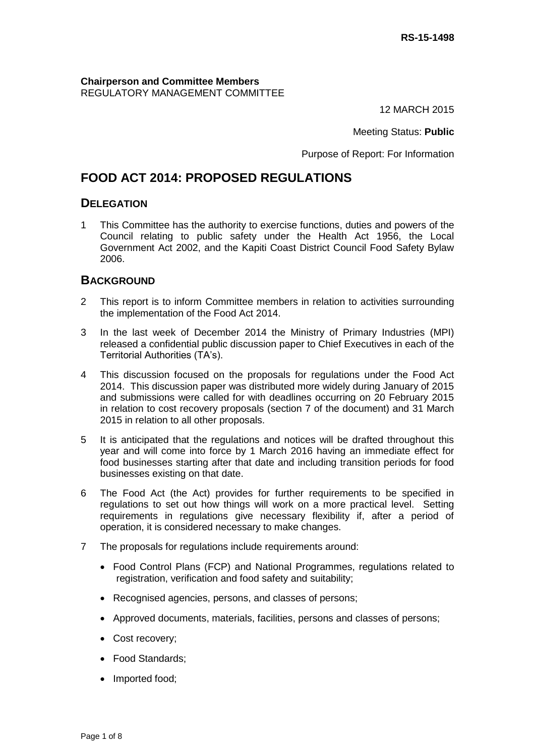**Chairperson and Committee Members** REGULATORY MANAGEMENT COMMITTEE

12 MARCH 2015

Meeting Status: **Public**

Purpose of Report: For Information

# **FOOD ACT 2014: PROPOSED REGULATIONS**

## **DELEGATION**

1 This Committee has the authority to exercise functions, duties and powers of the Council relating to public safety under the Health Act 1956, the Local Government Act 2002, and the Kapiti Coast District Council Food Safety Bylaw 2006.

## **BACKGROUND**

- 2 This report is to inform Committee members in relation to activities surrounding the implementation of the Food Act 2014.
- 3 In the last week of December 2014 the Ministry of Primary Industries (MPI) released a confidential public discussion paper to Chief Executives in each of the Territorial Authorities (TA's).
- 4 This discussion focused on the proposals for regulations under the Food Act 2014. This discussion paper was distributed more widely during January of 2015 and submissions were called for with deadlines occurring on 20 February 2015 in relation to cost recovery proposals (section 7 of the document) and 31 March 2015 in relation to all other proposals.
- 5 It is anticipated that the regulations and notices will be drafted throughout this year and will come into force by 1 March 2016 having an immediate effect for food businesses starting after that date and including transition periods for food businesses existing on that date.
- 6 The Food Act (the Act) provides for further requirements to be specified in regulations to set out how things will work on a more practical level. Setting requirements in regulations give necessary flexibility if, after a period of operation, it is considered necessary to make changes.
- 7 The proposals for regulations include requirements around:
	- Food Control Plans (FCP) and National Programmes, regulations related to registration, verification and food safety and suitability;
	- Recognised agencies, persons, and classes of persons;
	- Approved documents, materials, facilities, persons and classes of persons;
	- Cost recovery;
	- Food Standards:
	- Imported food;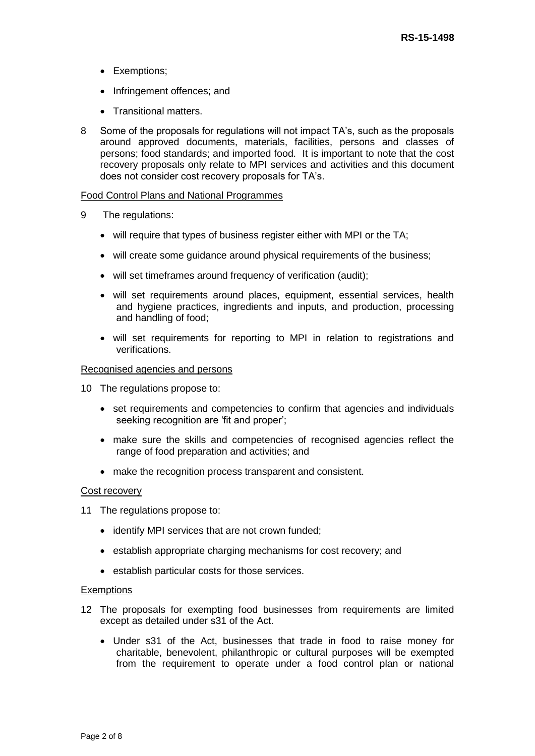- Exemptions;
- Infringement offences; and
- Transitional matters.
- 8 Some of the proposals for regulations will not impact TA's, such as the proposals around approved documents, materials, facilities, persons and classes of persons; food standards; and imported food. It is important to note that the cost recovery proposals only relate to MPI services and activities and this document does not consider cost recovery proposals for TA's.

#### Food Control Plans and National Programmes

- 9 The regulations:
	- will require that types of business register either with MPI or the TA;
	- will create some guidance around physical requirements of the business;
	- will set timeframes around frequency of verification (audit);
	- will set requirements around places, equipment, essential services, health and hygiene practices, ingredients and inputs, and production, processing and handling of food;
	- will set requirements for reporting to MPI in relation to registrations and verifications.

#### Recognised agencies and persons

- 10 The regulations propose to:
	- set requirements and competencies to confirm that agencies and individuals seeking recognition are 'fit and proper';
	- make sure the skills and competencies of recognised agencies reflect the range of food preparation and activities; and
	- make the recognition process transparent and consistent.

#### Cost recovery

- 11 The regulations propose to:
	- identify MPI services that are not crown funded;
	- establish appropriate charging mechanisms for cost recovery; and
	- establish particular costs for those services.

#### **Exemptions**

- 12 The proposals for exempting food businesses from requirements are limited except as detailed under s31 of the Act.
	- Under s31 of the Act, businesses that trade in food to raise money for charitable, benevolent, philanthropic or cultural purposes will be exempted from the requirement to operate under a food control plan or national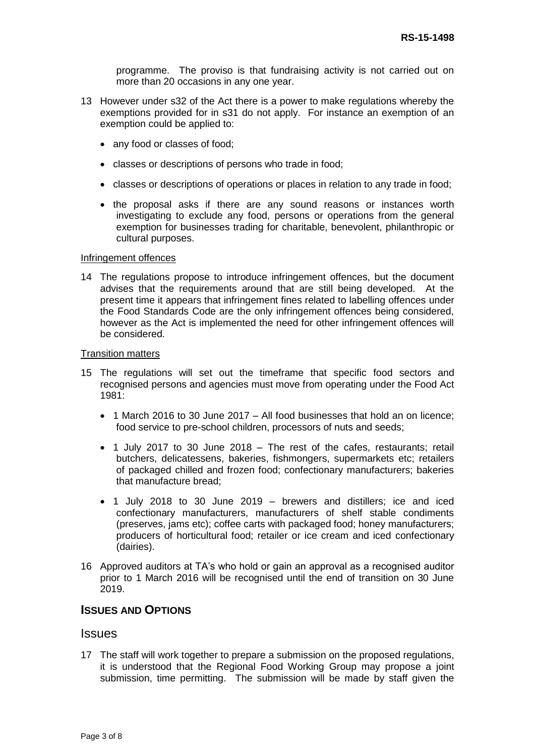programme. The proviso is that fundraising activity is not carried out on more than 20 occasions in any one year.

- 13 However under s32 of the Act there is a power to make regulations whereby the exemptions provided for in s31 do not apply. For instance an exemption of an exemption could be applied to:
	- any food or classes of food;
	- classes or descriptions of persons who trade in food;
	- classes or descriptions of operations or places in relation to any trade in food;
	- the proposal asks if there are any sound reasons or instances worth investigating to exclude any food, persons or operations from the general exemption for businesses trading for charitable, benevolent, philanthropic or cultural purposes.

#### Infringement offences

14 The regulations propose to introduce infringement offences, but the document advises that the requirements around that are still being developed. At the present time it appears that infringement fines related to labelling offences under the Food Standards Code are the only infringement offences being considered, however as the Act is implemented the need for other infringement offences will be considered.

#### Transition matters

- 15 The regulations will set out the timeframe that specific food sectors and recognised persons and agencies must move from operating under the Food Act 1981:
	- 1 March 2016 to 30 June 2017 All food businesses that hold an on licence; food service to pre-school children, processors of nuts and seeds;
	- 1 July 2017 to 30 June 2018 The rest of the cafes, restaurants; retail butchers, delicatessens, bakeries, fishmongers, supermarkets etc; retailers of packaged chilled and frozen food; confectionary manufacturers; bakeries that manufacture bread;
	- 1 July 2018 to 30 June 2019 brewers and distillers; ice and iced confectionary manufacturers, manufacturers of shelf stable condiments (preserves, jams etc); coffee carts with packaged food; honey manufacturers; producers of horticultural food; retailer or ice cream and iced confectionary (dairies).
- 16 Approved auditors at TA's who hold or gain an approval as a recognised auditor prior to 1 March 2016 will be recognised until the end of transition on 30 June 2019.

## **ISSUES AND OPTIONS**

## **Issues**

17 The staff will work together to prepare a submission on the proposed regulations, it is understood that the Regional Food Working Group may propose a joint submission, time permitting. The submission will be made by staff given the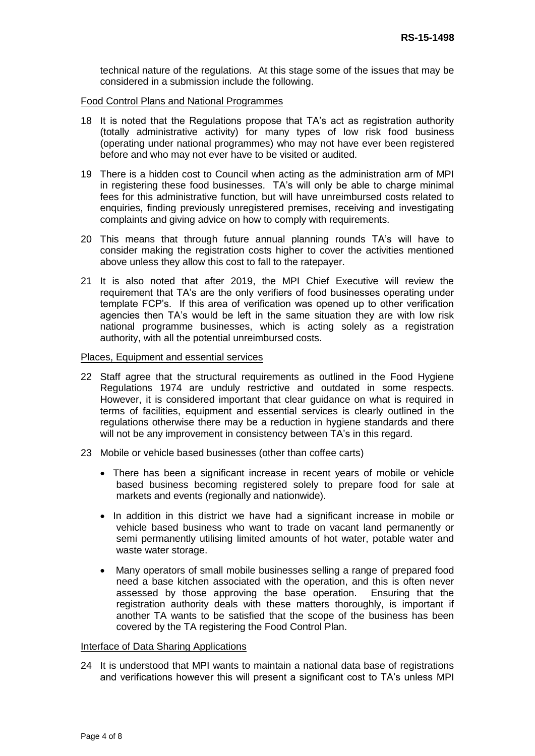technical nature of the regulations. At this stage some of the issues that may be considered in a submission include the following.

Food Control Plans and National Programmes

- 18 It is noted that the Regulations propose that TA's act as registration authority (totally administrative activity) for many types of low risk food business (operating under national programmes) who may not have ever been registered before and who may not ever have to be visited or audited.
- 19 There is a hidden cost to Council when acting as the administration arm of MPI in registering these food businesses. TA's will only be able to charge minimal fees for this administrative function, but will have unreimbursed costs related to enquiries, finding previously unregistered premises, receiving and investigating complaints and giving advice on how to comply with requirements.
- 20 This means that through future annual planning rounds TA's will have to consider making the registration costs higher to cover the activities mentioned above unless they allow this cost to fall to the ratepayer.
- 21 It is also noted that after 2019, the MPI Chief Executive will review the requirement that TA's are the only verifiers of food businesses operating under template FCP's. If this area of verification was opened up to other verification agencies then TA's would be left in the same situation they are with low risk national programme businesses, which is acting solely as a registration authority, with all the potential unreimbursed costs.

Places, Equipment and essential services

- 22 Staff agree that the structural requirements as outlined in the Food Hygiene Regulations 1974 are unduly restrictive and outdated in some respects. However, it is considered important that clear guidance on what is required in terms of facilities, equipment and essential services is clearly outlined in the regulations otherwise there may be a reduction in hygiene standards and there will not be any improvement in consistency between TA's in this regard.
- 23 Mobile or vehicle based businesses (other than coffee carts)
	- There has been a significant increase in recent years of mobile or vehicle based business becoming registered solely to prepare food for sale at markets and events (regionally and nationwide).
	- In addition in this district we have had a significant increase in mobile or vehicle based business who want to trade on vacant land permanently or semi permanently utilising limited amounts of hot water, potable water and waste water storage.
	- Many operators of small mobile businesses selling a range of prepared food need a base kitchen associated with the operation, and this is often never assessed by those approving the base operation. Ensuring that the registration authority deals with these matters thoroughly, is important if another TA wants to be satisfied that the scope of the business has been covered by the TA registering the Food Control Plan.

#### Interface of Data Sharing Applications

24 It is understood that MPI wants to maintain a national data base of registrations and verifications however this will present a significant cost to TA's unless MPI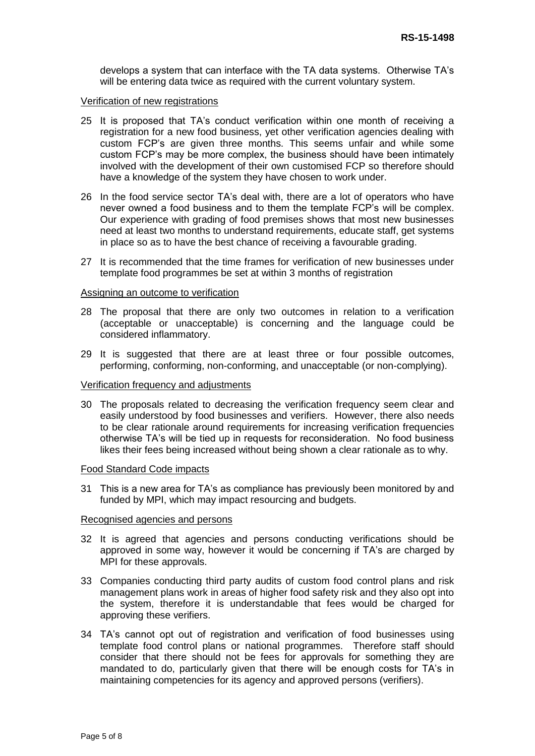develops a system that can interface with the TA data systems. Otherwise TA's will be entering data twice as required with the current voluntary system.

#### Verification of new registrations

- 25 It is proposed that TA's conduct verification within one month of receiving a registration for a new food business, yet other verification agencies dealing with custom FCP's are given three months. This seems unfair and while some custom FCP's may be more complex, the business should have been intimately involved with the development of their own customised FCP so therefore should have a knowledge of the system they have chosen to work under.
- 26 In the food service sector TA's deal with, there are a lot of operators who have never owned a food business and to them the template FCP's will be complex. Our experience with grading of food premises shows that most new businesses need at least two months to understand requirements, educate staff, get systems in place so as to have the best chance of receiving a favourable grading.
- 27 It is recommended that the time frames for verification of new businesses under template food programmes be set at within 3 months of registration

#### Assigning an outcome to verification

- 28 The proposal that there are only two outcomes in relation to a verification (acceptable or unacceptable) is concerning and the language could be considered inflammatory.
- 29 It is suggested that there are at least three or four possible outcomes, performing, conforming, non-conforming, and unacceptable (or non-complying).

#### Verification frequency and adjustments

30 The proposals related to decreasing the verification frequency seem clear and easily understood by food businesses and verifiers. However, there also needs to be clear rationale around requirements for increasing verification frequencies otherwise TA's will be tied up in requests for reconsideration. No food business likes their fees being increased without being shown a clear rationale as to why.

#### Food Standard Code impacts

31 This is a new area for TA's as compliance has previously been monitored by and funded by MPI, which may impact resourcing and budgets.

#### Recognised agencies and persons

- 32 It is agreed that agencies and persons conducting verifications should be approved in some way, however it would be concerning if TA's are charged by MPI for these approvals.
- 33 Companies conducting third party audits of custom food control plans and risk management plans work in areas of higher food safety risk and they also opt into the system, therefore it is understandable that fees would be charged for approving these verifiers.
- 34 TA's cannot opt out of registration and verification of food businesses using template food control plans or national programmes. Therefore staff should consider that there should not be fees for approvals for something they are mandated to do, particularly given that there will be enough costs for TA's in maintaining competencies for its agency and approved persons (verifiers).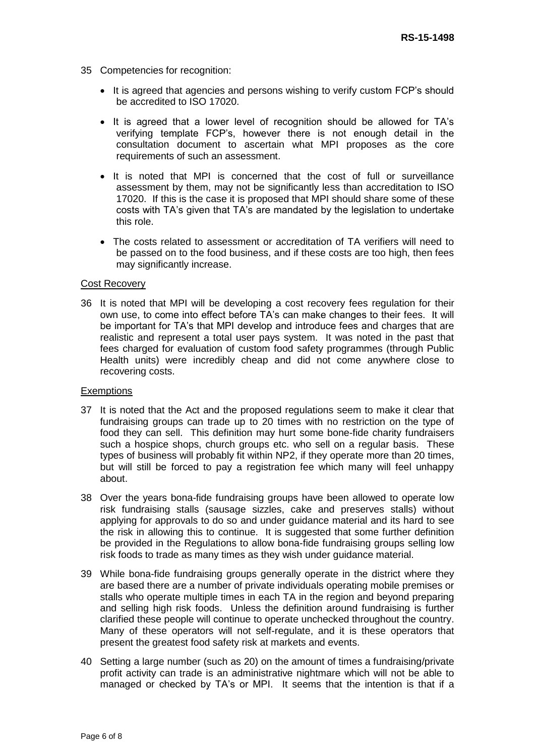- 35 Competencies for recognition:
	- It is agreed that agencies and persons wishing to verify custom FCP's should be accredited to ISO 17020.
	- It is agreed that a lower level of recognition should be allowed for TA's verifying template FCP's, however there is not enough detail in the consultation document to ascertain what MPI proposes as the core requirements of such an assessment.
	- It is noted that MPI is concerned that the cost of full or surveillance assessment by them, may not be significantly less than accreditation to ISO 17020. If this is the case it is proposed that MPI should share some of these costs with TA's given that TA's are mandated by the legislation to undertake this role.
	- The costs related to assessment or accreditation of TA verifiers will need to be passed on to the food business, and if these costs are too high, then fees may significantly increase.

#### Cost Recovery

36 It is noted that MPI will be developing a cost recovery fees regulation for their own use, to come into effect before TA's can make changes to their fees. It will be important for TA's that MPI develop and introduce fees and charges that are realistic and represent a total user pays system. It was noted in the past that fees charged for evaluation of custom food safety programmes (through Public Health units) were incredibly cheap and did not come anywhere close to recovering costs.

#### **Exemptions**

- 37 It is noted that the Act and the proposed regulations seem to make it clear that fundraising groups can trade up to 20 times with no restriction on the type of food they can sell. This definition may hurt some bone-fide charity fundraisers such a hospice shops, church groups etc. who sell on a regular basis. These types of business will probably fit within NP2, if they operate more than 20 times, but will still be forced to pay a registration fee which many will feel unhappy about.
- 38 Over the years bona-fide fundraising groups have been allowed to operate low risk fundraising stalls (sausage sizzles, cake and preserves stalls) without applying for approvals to do so and under guidance material and its hard to see the risk in allowing this to continue. It is suggested that some further definition be provided in the Regulations to allow bona-fide fundraising groups selling low risk foods to trade as many times as they wish under guidance material.
- 39 While bona-fide fundraising groups generally operate in the district where they are based there are a number of private individuals operating mobile premises or stalls who operate multiple times in each TA in the region and beyond preparing and selling high risk foods. Unless the definition around fundraising is further clarified these people will continue to operate unchecked throughout the country. Many of these operators will not self-regulate, and it is these operators that present the greatest food safety risk at markets and events.
- 40 Setting a large number (such as 20) on the amount of times a fundraising/private profit activity can trade is an administrative nightmare which will not be able to managed or checked by TA's or MPI. It seems that the intention is that if a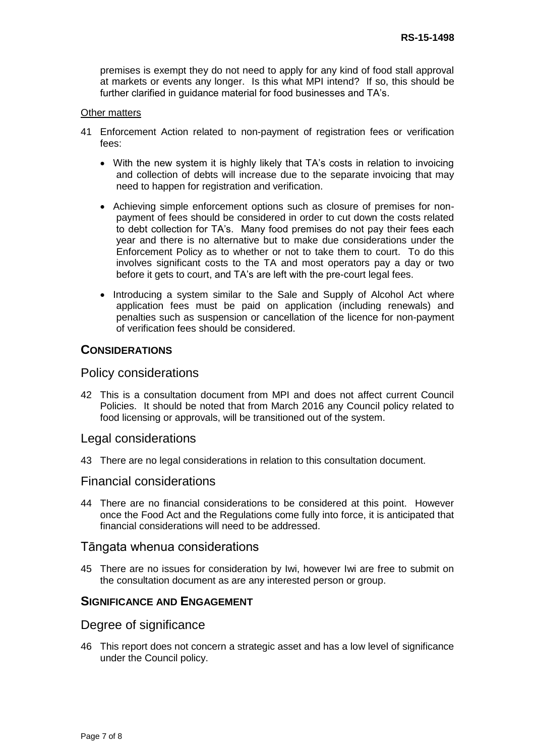premises is exempt they do not need to apply for any kind of food stall approval at markets or events any longer. Is this what MPI intend? If so, this should be further clarified in guidance material for food businesses and TA's.

#### Other matters

- 41 Enforcement Action related to non-payment of registration fees or verification fees:
	- With the new system it is highly likely that TA's costs in relation to invoicing and collection of debts will increase due to the separate invoicing that may need to happen for registration and verification.
	- Achieving simple enforcement options such as closure of premises for nonpayment of fees should be considered in order to cut down the costs related to debt collection for TA's. Many food premises do not pay their fees each year and there is no alternative but to make due considerations under the Enforcement Policy as to whether or not to take them to court. To do this involves significant costs to the TA and most operators pay a day or two before it gets to court, and TA's are left with the pre-court legal fees.
	- Introducing a system similar to the Sale and Supply of Alcohol Act where application fees must be paid on application (including renewals) and penalties such as suspension or cancellation of the licence for non-payment of verification fees should be considered.

## **CONSIDERATIONS**

## Policy considerations

42 This is a consultation document from MPI and does not affect current Council Policies. It should be noted that from March 2016 any Council policy related to food licensing or approvals, will be transitioned out of the system.

#### Legal considerations

43 There are no legal considerations in relation to this consultation document.

## Financial considerations

44 There are no financial considerations to be considered at this point. However once the Food Act and the Regulations come fully into force, it is anticipated that financial considerations will need to be addressed.

## Tāngata whenua considerations

45 There are no issues for consideration by Iwi, however Iwi are free to submit on the consultation document as are any interested person or group.

#### **SIGNIFICANCE AND ENGAGEMENT**

## Degree of significance

46 This report does not concern a strategic asset and has a low level of significance under the Council policy.